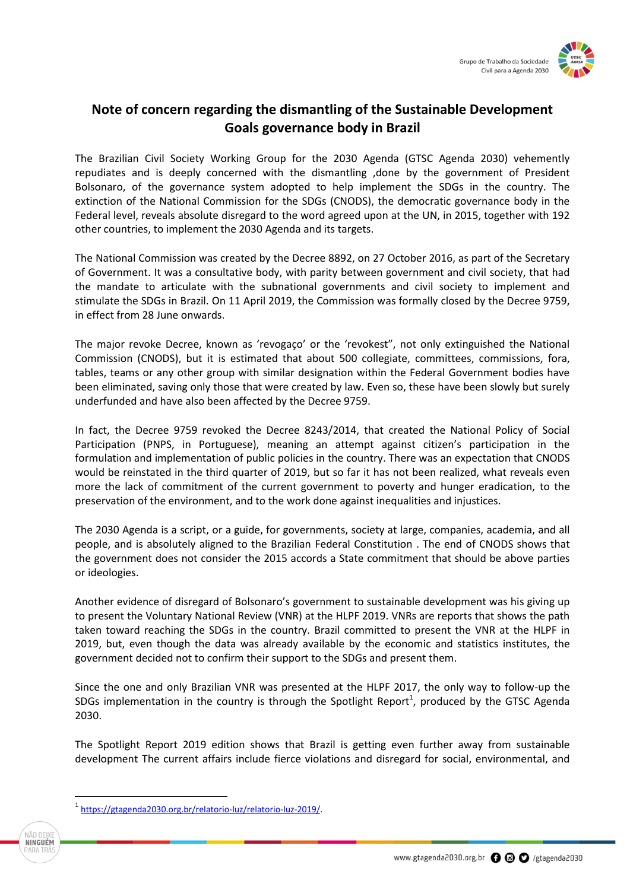

## **Note of concern regarding the dismantling of the Sustainable Development Goals governance body in Brazil**

The Brazilian Civil Society Working Group for the 2030 Agenda (GTSC Agenda 2030) vehemently repudiates and is deeply concerned with the dismantling ,done by the government of President Bolsonaro, of the governance system adopted to help implement the SDGs in the country. The extinction of the National Commission for the SDGs (CNODS), the democratic governance body in the Federal level, reveals absolute disregard to the word agreed upon at the UN, in 2015, together with 192 other countries, to implement the 2030 Agenda and its targets.

The National Commission was created by the Decree 8892, on 27 October 2016, as part of the Secretary of Government. It was a consultative body, with parity between government and civil society, that had the mandate to articulate with the subnational governments and civil society to implement and stimulate the SDGs in Brazil. On 11 April 2019, the Commission was formally closed by the Decree 9759, in effect from 28 June onwards.

The major revoke Decree, known as 'revogaço' or the 'revokest", not only extinguished the National Commission (CNODS), but it is estimated that about 500 collegiate, committees, commissions, fora, tables, teams or any other group with similar designation within the Federal Government bodies have been eliminated, saving only those that were created by law. Even so, these have been slowly but surely underfunded and have also been affected by the Decree 9759.

In fact, the Decree 9759 revoked the Decree 8243/2014, that created the National Policy of Social Participation (PNPS, in Portuguese), meaning an attempt against citizen's participation in the formulation and implementation of public policies in the country. There was an expectation that CNODS would be reinstated in the third quarter of 2019, but so far it has not been realized, what reveals even more the lack of commitment of the current government to poverty and hunger eradication, to the preservation of the environment, and to the work done against inequalities and injustices.

The 2030 Agenda is a script, or a guide, for governments, society at large, companies, academia, and all people, and is absolutely aligned to the Brazilian Federal Constitution . The end of CNODS shows that the government does not consider the 2015 accords a State commitment that should be above parties or ideologies.

Another evidence of disregard of Bolsonaro's government to sustainable development was his giving up to present the Voluntary National Review (VNR) at the HLPF 2019. VNRs are reports that shows the path taken toward reaching the SDGs in the country. Brazil committed to present the VNR at the HLPF in 2019, but, even though the data was already available by the economic and statistics institutes, the government decided not to confirm their support to the SDGs and present them.

Since the one and only Brazilian VNR was presented at the HLPF 2017, the only way to follow-up the SDGs implementation in the country is through the Spotlight Report<sup>1</sup>, produced by the GTSC Agenda 2030.

The Spotlight Report 2019 edition shows that Brazil is getting even further away from sustainable development The current affairs include fierce violations and disregard for social, environmental, and

 $\overline{\phantom{a}}$ 

<sup>&</sup>lt;sup>1</sup> [https://gtagenda2030.org.br/relatorio-luz/relatorio-luz-2019/.](https://gtagenda2030.org.br/relatorio-luz/relatorio-luz-2019/)